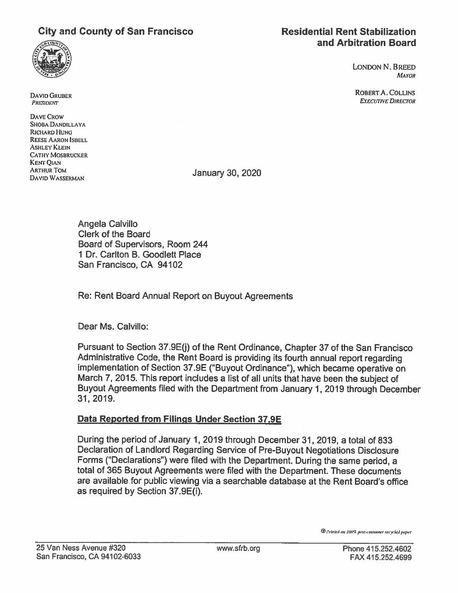## City and County of San Francisco Residential Rent Stabilization



# and Arbitration Board

LONDON N. BREED **MAYOR** 

ROBERTA. COLLINS **EXECUTIVE DIRECTOR** 

DAVID GRUDER PRESIDENT

DAVE CRow SHOBA DANDILLAYA RICHARD HUNG REESE AARON ISBELL ASHLEY KLEIN **CATHY MOSBRUCKER** KENT QIAN ARTHUR TOM ARTHUR TOM **DAVID WASSERMAN** JANUARY 30, 2020

Angela Calvillo Clerk of the Board Board of Supervisors, Room 244 1 Dr. Carlton B. Goodlett Place San Francisco, CA 94102

Re: Rent Board Annual Report on Buyout Agreements

Dear Ms. Calvillo:

Pursuant to Section 37.9E(j) of the Rent Ordinance, Chapter 37 of the San Francisco Administrative Code, the Rent Board is providing its fourth annual repor<sup>t</sup> regarding implementation of Section 37.9E ("Buyout Ordinance"), which became operative on March 7, 2015. This repor<sup>t</sup> includes <sup>a</sup> list of all units that have been the subject of Buyout Agreements filed with the Department from January 1,2019 through December 31, 2019.

## Data Reported from Filings Under Section 37.9E

During the period of January 1, 2019 through December31, 2019, <sup>a</sup> total of 833 Declaration of Landlord Regarding Service of Pre-Buyout Negotiations Disclosure Forms ("Declarations") were filed with the Department. During the same period, <sup>a</sup> total of 365 Buyout Agreements were filed with the Department. These documents are available for public viewing via <sup>a</sup> searchable database at the Rent Board's office as required by Section 37.9E(i).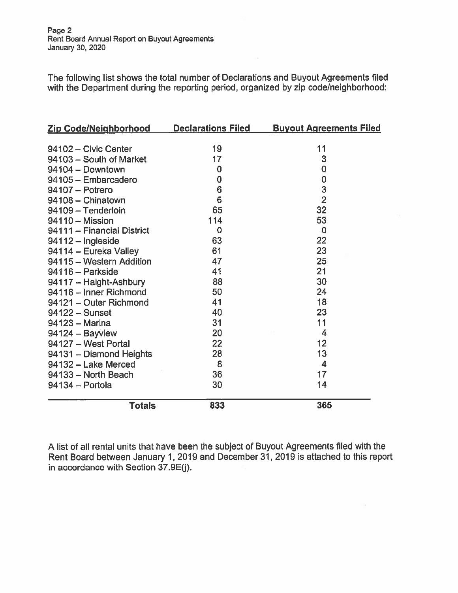The following list shows the total number of Declarations and Buyout Agreements filed with the Department during the reporting period, organized by zip code/neighborhood:

| <u>Zip Code/Neighborhood ____</u> | <u>Declarations Filed</u> | <b>Buyout Agreements Filed</b> |
|-----------------------------------|---------------------------|--------------------------------|
|                                   |                           |                                |
| 94102 - Civic Center              | 19                        | 11                             |
| 94103 - South of Market           | 17                        | 3                              |
| 94104 - Downtown                  | $\bf{0}$                  | $\overline{0}$                 |
| 94105 - Embarcadero               | $\mathbf 0$               | $\mathbf 0$                    |
| $94107 -$ Potrero                 | 6                         | 3                              |
| 94108 - Chinatown                 | 6                         | $\overline{2}$                 |
| 94109 - Tenderloin                | 65                        | 32                             |
| 94110 - Mission                   | 114                       | 53                             |
| 94111 - Financial District        | $\mathbf 0$               | $\mathbf 0$                    |
| 94112 - Ingleside                 | 63                        | 22                             |
| 94114 - Eureka Valley             | 61                        | 23                             |
| 94115 - Western Addition          | 47                        | 25                             |
| 94116 - Parkside                  | 41                        | 21                             |
| 94117 - Haight-Ashbury            | 88                        | 30                             |
| 94118 - Inner Richmond            | 50                        | 24                             |
| 94121 - Outer Richmond            | 41                        | 18                             |
| $94122 -$ Sunset                  | 40                        | 23                             |
| 94123 - Marina                    | 31                        | 11                             |
| 94124 - Bayview                   | 20                        | $\overline{4}$                 |
| 94127 - West Portal               | 22                        | 12                             |
| 94131 - Diamond Heights           | 28                        | 13                             |
| 94132 - Lake Merced               | 8                         | $\overline{\mathbf{4}}$        |
| 94133 - North Beach               | 36                        | 17                             |
| 94134 - Portola                   | 30                        | 14                             |
| <b>Totals</b>                     | 833                       | 365                            |

A list of all rental units that have been the subject of Buyout Agreements filed with the Rent Board between January 1, 2019 and December31, 2019 is attached to this repor<sup>t</sup> in accordance with Section 37.9E(j).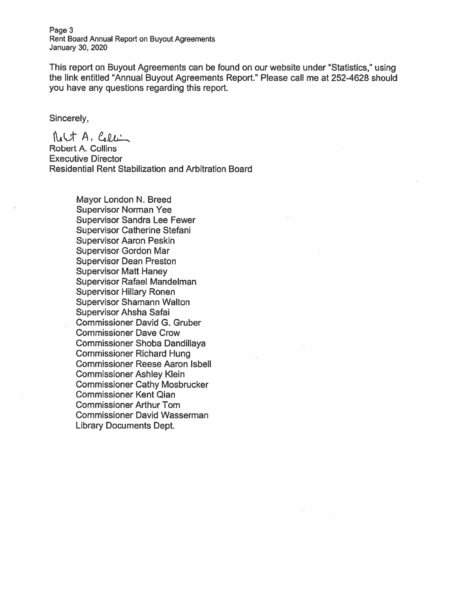Page 3 Rent Board Annual Report on Buyout Agreements January 30, 2020

This repor<sup>t</sup> on Buyout Agreements can be found on our website under "Statistics," using the link entitled "Annual Buyout Agreements Report." Please call me at 252-4628 should you have any questions regarding this report.

Sincerely,

 $N_t \cup t$  A,  $C_2 \cup C_1$ Robert A. Collins Executive Director Residential Rent Stabilization and Arbitration Board

> Mayor London N. Breed Supervisor Norman Yee Supervisor Sandra Lee Fewer Supervisor Catherine Stefani Supervisor Aaron Peskin Supervisor Gordon Mar Supervisor Dean Preston Supervisor Matt Haney Supervisor Rafael Mandelman Supervisor Hillary Ronen Supervisor Shamann Walton Supervisor Ahsha Safai Commissioner David G. Gruber Commissioner Dave Crow Commissioner Shoba Dandillaya Commissioner Richard Hung Commissioner Reese Aaron Isbell Commissioner Ashley Klein Commissioner Cathy Mosbrucker Commissioner Kent Qian Commissioner Arthur Tom Commissioner David Wasserman Library Documents Dept.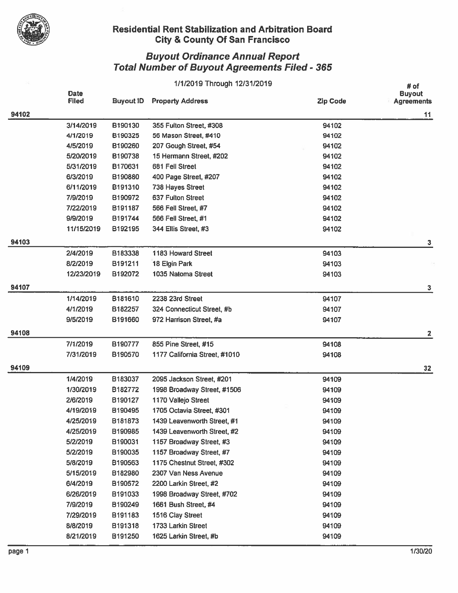

|       |                             |                  | 1/1/2019 Through 12/31/2019   |                 | # of                               |
|-------|-----------------------------|------------------|-------------------------------|-----------------|------------------------------------|
|       | <b>Date</b><br><b>Filed</b> | <b>Buyout ID</b> | <b>Property Address</b>       | <b>Zip Code</b> | <b>Buyout</b><br><b>Agreements</b> |
| 94102 |                             |                  |                               |                 | 11                                 |
|       | 3/14/2019                   | B190130          | 355 Fulton Street, #308       | 94102           |                                    |
|       | 4/1/2019                    | B190325          | 56 Mason Street, #410         | 94102           |                                    |
|       | 4/5/2019                    | B190260          | 207 Gough Street, #54         | 94102           |                                    |
|       | 5/20/2019                   | B190738          | 15 Hermann Street, #202       | 94102           |                                    |
|       | 5/31/2019                   | B170631          | 681 Fell Street               | 94102           |                                    |
|       | 6/3/2019                    | B190880          | 400 Page Street, #207         | 94102           |                                    |
|       | 6/11/2019                   | B191310          | 738 Hayes Street              | 94102           |                                    |
|       | 7/9/2019                    | B190972          | 637 Fulton Street             | 94102           |                                    |
|       | 7/22/2019                   | B191187          | 566 Fell Street, #7           | 94102           |                                    |
|       | 9/9/2019                    | B191744          | 566 Fell Street, #1           | 94102           |                                    |
|       | 11/15/2019                  | B192195          | 344 Ellis Street, #3          | 94102           |                                    |
| 94103 |                             |                  |                               |                 | 3                                  |
|       | 2/4/2019                    | B183338          | 1183 Howard Street            | 94103           |                                    |
|       | 8/2/2019                    | B191211          | 18 Elgin Park                 | 94103           |                                    |
|       | 12/23/2019                  | B192072          | 1035 Natoma Street            | 94103           |                                    |
| 94107 |                             |                  |                               |                 | 3                                  |
|       | 1/14/2019                   | B181610          | 2238 23rd Street              | 94107           |                                    |
|       | 4/1/2019                    | B182257          | 324 Connecticut Street, #b    | 94107           |                                    |
|       | 9/5/2019                    | B191660          | 972 Harrison Street, #a       | 94107           |                                    |
| 94108 |                             |                  |                               |                 | 2                                  |
|       | 7/1/2019                    | B190777          | 855 Pine Street, #15          | 94108           |                                    |
|       | 7/31/2019                   | B190570          | 1177 California Street, #1010 | 94108           |                                    |
| 94109 |                             |                  |                               |                 | 32                                 |
|       | 1/4/2019                    | B183037          | 2095 Jackson Street, #201     | 94109           |                                    |
|       | 1/30/2019                   | B182772          | 1998 Broadway Street, #1506   | 94109           |                                    |
|       | 2/6/2019                    | B190127          | 1170 Vallejo Street           | 94109           |                                    |
|       | 4/19/2019                   | B190495          | 1705 Octavia Street, #301     | 94109           |                                    |
|       | 4/25/2019                   | B181873          | 1439 Leavenworth Street, #1   | 94109           |                                    |
|       | 4/25/2019                   | B190985          | 1439 Leavenworth Street, #2   | 94109           |                                    |
|       | 5/2/2019                    | B190031          | 1157 Broadway Street, #3      | 94109           |                                    |
|       | 5/2/2019                    | B190035          | 1157 Broadway Street, #7      | 94109           |                                    |
|       | 5/8/2019                    | B190563          | 1175 Chestnut Street, #302    | 94109           |                                    |
|       | 5/15/2019                   | B182980          | 2307 Van Ness Avenue          | 94109           |                                    |
|       | 6/4/2019                    | B190572          | 2200 Larkin Street, #2        | 94109           |                                    |
|       | 6/26/2019                   | B191033          | 1998 Broadway Street, #702    | 94109           |                                    |
|       | 7/9/2019                    | B190249          | 1661 Bush Street, #4          | 94109           |                                    |
|       | 7/29/2019                   | B191183          | 1516 Clay Street              | 94109           |                                    |
|       | 8/8/2019                    | B191318          | 1733 Larkin Street            | 94109           |                                    |
|       | 8/21/2019                   | B191250          | 1625 Larkin Street, #b        | 94109           |                                    |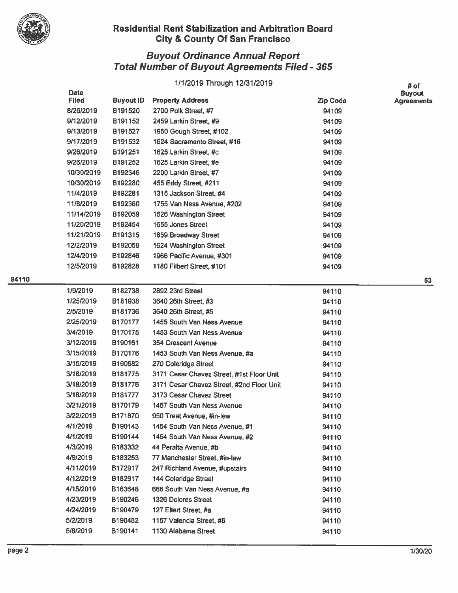

## uyout Ordinance Annual Report  $\boldsymbol{\mathsf{total}}$  Number of Buyout Agreements Filed - 365  $\blacksquare$

|     | 1/1/2019 Through 12/31/2019 |                  |                                           |                 |                                            |
|-----|-----------------------------|------------------|-------------------------------------------|-----------------|--------------------------------------------|
|     | <b>Date</b><br><b>Filed</b> | <b>Buyout ID</b> | <b>Property Address</b>                   | <b>Zip Code</b> | # of<br><b>Buyout</b><br><b>Agreements</b> |
|     | 8/26/2019                   | B191520          | 2700 Polk Street, #7                      | 94109           |                                            |
|     | 9/12/2019                   | B191152          | 2459 Larkin Street, #9                    | 94109           |                                            |
|     | 9/13/2019                   | B191527          | 1950 Gough Street, #102                   | 94109           |                                            |
|     | 9/17/2019                   | B191532          | 1624 Sacramento Street, #16               | 94109           |                                            |
|     | 9/26/2019                   | B191251          | 1625 Larkin Street, #c                    | 94109           |                                            |
|     | 9/26/2019                   | B191252          | 1625 Larkin Street, #e                    | 94109           |                                            |
|     | 10/30/2019                  | B192346          | 2200 Larkin Street, #7                    | 94109           |                                            |
|     | 10/30/2019                  | B192280          | 455 Eddy Street, #211                     | 94109           |                                            |
|     | 11/4/2019                   | B192281          | 1315 Jackson Street, #4                   | 94109           |                                            |
|     | 11/8/2019                   | B192360          | 1755 Van Ness Avenue, #202                | 94109           |                                            |
|     | 11/14/2019                  | B192059          | 1626 Washington Street                    | 94109           |                                            |
|     | 11/20/2019                  | B192454          | 1655 Jones Street                         | 94109           |                                            |
|     | 11/21/2019                  | B191315          | 1859 Broadway Street                      | 94109           |                                            |
|     | 12/2/2019                   | B192058          | 1624 Washington Street                    | 94109           |                                            |
|     | 12/4/2019                   | B192846          | 1966 Pacific Avenue, #301                 | 94109           |                                            |
|     | 12/5/2019                   | B192828          | 1180 Filbert Street, #101                 | 94109           |                                            |
| 110 |                             |                  |                                           |                 | 53                                         |
|     | 1/9/2019                    | B182738          | 2892 23rd Street                          | 94110           |                                            |
|     | 1/25/2019                   | B181938          | 3640 26th Street, #3                      | 94110           |                                            |
|     | 2/5/2019                    | B181736          | 3640 26th Street, #5                      | 94110           |                                            |
|     | 2/25/2019                   | B170177          | 1455 South Van Ness Avenue                | 94110           |                                            |
|     | 3/4/2019                    | B170175          | 1453 South Van Ness Avenue                | 94110           |                                            |
|     | 3/12/2019                   | B190161          | 354 Crescent Avenue                       | 94110           |                                            |
|     | 3/15/2019                   | B170176          | 1453 South Van Ness Avenue, #a            | 94110           |                                            |
|     | 3/15/2019                   | B190582          | 270 Coleridge Street                      | 94110           |                                            |
|     | 3/18/2019                   | B181775          | 3171 Cesar Chavez Street, #1st Floor Unit | 94110           |                                            |
|     | 3/18/2019                   | B181776          | 3171 Cesar Chavez Street, #2nd Floor Unit | 94110           |                                            |
|     | 3/18/2019                   | B181777          | 3173 Cesar Chavez Street                  | 94110           |                                            |
|     | 3/21/2019                   | B170179          | 1457 South Van Ness Avenue                | 94110           |                                            |
|     | 3/22/2019                   | B171870          | 950 Treat Avenue, #in-law                 | 94110           |                                            |
|     | 4/1/2019                    | B190143          | 1454 South Van Ness Avenue, #1            | 94110           |                                            |
|     | 4/1/2019                    | B190144          | 1454 South Van Ness Avenue, #2            | 94110           |                                            |
|     | 4/3/2019                    | B183332          | 44 Peralta Avenue, #b                     | 94110           |                                            |
|     | 4/9/2019                    | B183253          | 77 Manchester Street, #in-law             | 94110           |                                            |
|     | 4/11/2019                   | B172917          | 247 Richland Avenue, #upstairs            | 94110           |                                            |
|     | 4/12/2019                   | B182917          | 144 Coleridge Street                      | 94110           |                                            |
|     | 4/15/2019                   | B163648          | 666 South Van Ness Avenue, #a             | 94110           |                                            |
|     | 4/23/2019                   | B190246          | 1326 Dolores Street                       | 94110           |                                            |
|     | 4/24/2019                   | B190479          | 127 Ellert Street, #a                     | 94110           |                                            |
|     | 5/2/2019                    | B190482          | 1157 Valencia Street, #6                  | 94110           |                                            |
|     | 5/8/2019                    | B190141          | 1130 Alabama Street                       | 94110           |                                            |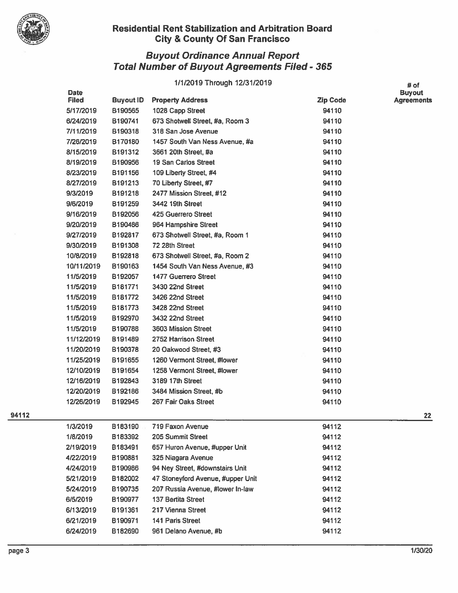

## Buyout Ordinance Annual Report Total Number of Buyout Agreements Filed - 365

## 1/1/2019 Through 12/31/2019 **#01**

|     | <b>Date</b><br><b>Filed</b> | <b>Buyout ID</b> | <b>Property Address</b>           | <b>Zip Code</b> | <b>Buyout</b><br><b>Agreements</b> |
|-----|-----------------------------|------------------|-----------------------------------|-----------------|------------------------------------|
|     | 5/17/2019                   | B190565          | 1028 Capp Street                  | 94110           |                                    |
|     | 6/24/2019                   | B190741          | 673 Shotwell Street, #a, Room 3   | 94110           |                                    |
|     | 7/11/2019                   | B190318          | 318 San Jose Avenue               | 94110           |                                    |
|     | 7/26/2019                   | B170180          | 1457 South Van Ness Avenue, #a    | 94110           |                                    |
|     | 8/15/2019                   | B191312          | 3661 20th Street, #a              | 94110           |                                    |
|     | 8/19/2019                   | B190956          | 19 San Carlos Street              | 94110           |                                    |
|     | 8/23/2019                   | B191156          | 109 Liberty Street, #4            | 94110           |                                    |
|     | 8/27/2019                   | B191213          | 70 Liberty Street, #7             | 94110           |                                    |
|     | 9/3/2019                    | B191218          | 2477 Mission Street, #12          | 94110           |                                    |
|     | 9/6/2019                    | B191259          | 3442 19th Street                  | 94110           |                                    |
|     | 9/16/2019                   | B192056          | 425 Guerrero Street               | 94110           |                                    |
|     | 9/20/2019                   | B190486          | 964 Hampshire Street              | 94110           |                                    |
|     | 9/27/2019                   | B192817          | 673 Shotwell Street, #a, Room 1   | 94110           |                                    |
|     | 9/30/2019                   | B191308          | 72 28th Street                    | 94110           |                                    |
|     | 10/8/2019                   | B192818          | 673 Shotwell Street, #a, Room 2   | 94110           |                                    |
|     | 10/11/2019                  | B190163          | 1454 South Van Ness Avenue, #3    | 94110           |                                    |
|     | 11/5/2019                   | B192057          | 1477 Guerrero Street              | 94110           |                                    |
|     | 11/5/2019                   | B181771          | 3430 22nd Street                  | 94110           |                                    |
|     | 11/5/2019                   | B181772          | 3426 22nd Street                  | 94110           |                                    |
|     | 11/5/2019                   | B181773          | 3428 22nd Street                  | 94110           |                                    |
|     | 11/5/2019                   | B192970          | 3432 22nd Street                  | 94110           |                                    |
|     | 11/5/2019                   | B190788          | 3603 Mission Street               | 94110           |                                    |
|     | 11/12/2019                  | B191489          | 2752 Harrison Street              | 94110           |                                    |
|     | 11/20/2019                  | B190378          | 20 Oakwood Street, #3             | 94110           |                                    |
|     | 11/25/2019                  | B191655          | 1260 Vermont Street, #lower       | 94110           |                                    |
|     | 12/10/2019                  | B191654          | 1258 Vermont Street, #lower       | 94110           |                                    |
|     | 12/16/2019                  | B192843          | 3189 17th Street                  | 94110           |                                    |
|     | 12/20/2019                  | B192186          | 3484 Mission Street, #b           | 94110           |                                    |
|     | 12/26/2019                  | B192945          | 267 Fair Oaks Street              | 94110           |                                    |
| 112 |                             |                  |                                   |                 | 22                                 |
|     | 1/3/2019                    | B183190          | 719 Faxon Avenue                  | 94112           |                                    |
|     | 1/8/2019                    | B183392          | 205 Summit Street                 | 94112           |                                    |
|     | 2/19/2019                   | B183491          | 657 Huron Avenue, #upper Unit     | 94112           |                                    |
|     | 4/22/2019                   | B190881          | 325 Niagara Avenue                | 94112           |                                    |
|     | 4/24/2019                   | B190986          | 94 Ney Street, #downstairs Unit   | 94112           |                                    |
|     | 5/21/2019                   | B182002          | 47 Stoneyford Avenue, #upper Unit | 94112           |                                    |
|     | 5/24/2019                   | B190735          | 207 Russia Avenue, #lower In-law  | 94112           |                                    |
|     | 6/5/2019                    | B190977          | 137 Bertita Street                | 94112           |                                    |
|     | 6/13/2019                   | B191361          | 217 Vienna Street                 | 94112           |                                    |
|     | 6/21/2019                   | B190971          | 141 Paris Street                  | 94112           |                                    |
|     | 6/24/2019                   | B182690          | 961 Delano Avenue, #b             | 94112           |                                    |
|     |                             |                  |                                   |                 |                                    |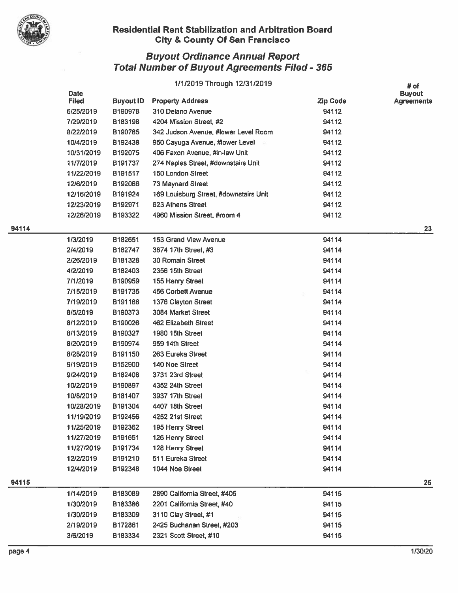

|     |              |                  | 1/1/2019 Through 12/31/2019            |                 | # of              |
|-----|--------------|------------------|----------------------------------------|-----------------|-------------------|
|     | <b>Date</b>  |                  |                                        |                 | <b>Buyout</b>     |
|     | <b>Filed</b> | <b>Buyout ID</b> | <b>Property Address</b>                | <b>Zip Code</b> | <b>Agreements</b> |
|     | 6/25/2019    | B190978          | 310 Delano Avenue                      | 94112           |                   |
|     | 7/29/2019    | B183198          | 4204 Mission Street, #2                | 94112           |                   |
|     | 8/22/2019    | B190785          | 342 Judson Avenue, #lower Level Room   | 94112           |                   |
|     | 10/4/2019    | B192438          | 950 Cayuga Avenue, #lower Level        | 94112           |                   |
|     | 10/31/2019   | B192075          | 406 Faxon Avenue, #in-law Unit         | 94112           |                   |
|     | 11/7/2019    | B191737          | 274 Naples Street, #downstairs Unit    | 94112           |                   |
|     | 11/22/2019   | B191517          | <b>150 London Street</b>               | 94112           |                   |
|     | 12/6/2019    | B192066          | 73 Maynard Street                      | 94112           |                   |
|     | 12/16/2019   | B191924          | 169 Louisburg Street, #downstairs Unit | 94112           |                   |
|     | 12/23/2019   | B192971          | 623 Athens Street                      | 94112           |                   |
|     | 12/26/2019   | B193322          | 4960 Mission Street, #room 4           | 94112           |                   |
| 114 |              |                  |                                        |                 | 23                |
|     | 1/3/2019     | B182651          | 153 Grand View Avenue                  | 94114           |                   |
|     | 2/4/2019     | B182747          | 3874 17th Street, #3                   | 94114           |                   |
|     | 2/26/2019    | B181328          | <b>30 Romain Street</b>                | 94114           |                   |
|     | 4/2/2019     | B182403          | 2356 15th Street                       | 94114           |                   |
|     | 7/1/2019     | B190959          | 155 Henry Street                       | 94114           |                   |
|     | 7/15/2019    | B191735          | 456 Corbett Avenue                     | 94114           |                   |
|     | 7/19/2019    | B191188          | 1376 Clayton Street                    | 94114           |                   |
|     | 8/5/2019     | B190373          | 3084 Market Street                     | 94114           |                   |
|     | 8/12/2019    | B190026          | 462 Elizabeth Street                   | 94114           |                   |
|     | 8/13/2019    | B190327          | 1980 15th Street                       | 94114           |                   |
|     | 8/20/2019    | B190974          | 959 14th Street                        | 94114           |                   |
|     | 8/28/2019    | B191150          | 263 Eureka Street                      | 94114           |                   |
|     | 9/19/2019    | B152900          | 140 Noe Street                         | 94114           |                   |
|     | 9/24/2019    | B182408          | 3731 23rd Street                       | 94114           |                   |
|     | 10/2/2019    | B190897          | 4352 24th Street                       | 94114           |                   |
|     | 10/8/2019    | B181407          | 3937 17th Street                       | 94114           |                   |
|     | 10/28/2019   | B191304          | 4407 18th Street                       | 94114           |                   |
|     | 11/19/2019   | B192456          | 4252 21st Street                       | 94114           |                   |
|     | 11/25/2019   | B192362          | 195 Henry Street                       | 94114           |                   |
|     | 11/27/2019   | B191651          | 126 Henry Street                       | 94114           |                   |
|     | 11/27/2019   | B191734          | 128 Henry Street                       | 94114           |                   |
|     | 12/2/2019    | B191210          | 511 Eureka Street                      | 94114           |                   |
|     | 12/4/2019    | B192348          | 1044 Noe Street                        | 94114           |                   |
|     |              |                  |                                        |                 |                   |
| 115 |              |                  |                                        |                 | 25                |
|     | 1/14/2019    | B183089          | 2890 California Street, #405           | 94115           |                   |
|     | 1/30/2019    | B183386          | 2201 California Street, #40            | 94115           |                   |
|     | 1/30/2019    | B183309          | 3110 Clay Street, #1                   | 94115           |                   |
|     | 2/19/2019    | B172861          | 2425 Buchanan Street, #203             | 94115           |                   |
|     | 3/6/2019     | B183334          | 2321 Scott Street, #10                 | 94115           |                   |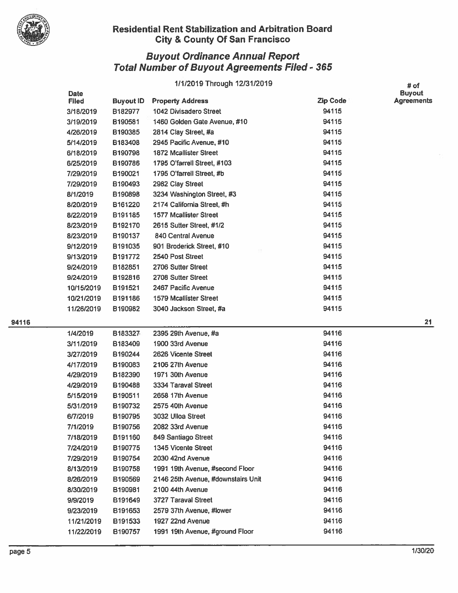

# Buyout Ordinance Annual Report Total Number of Buyout Agreements Filed - 365

## 1/1/2019 Through 12/31/2019 **#** of

|     | Date<br><b>Filed</b> | <b>Buyout ID</b> | <b>Property Address</b>            | <b>Zip Code</b> | <b>Buyout</b><br><b>Agreements</b> |
|-----|----------------------|------------------|------------------------------------|-----------------|------------------------------------|
|     | 3/18/2019            | B182977          | 1042 Divisadero Street             | 94115           |                                    |
|     | 3/19/2019            | B190581          | 1460 Golden Gate Avenue, #10       | 94115           |                                    |
|     | 4/26/2019            | B190385          | 2814 Clay Street, #a               | 94115           |                                    |
|     | 5/14/2019            | B183408          | 2945 Pacific Avenue, #10           | 94115           |                                    |
|     | 6/18/2019            | B190798          | <b>1872 Mcallister Street</b>      | 94115           |                                    |
|     | 6/25/2019            | B190786          | 1795 O'farrell Street, #103        | 94115           |                                    |
|     | 7/29/2019            | B190021          | 1795 O'farrell Street, #b          | 94115           |                                    |
|     | 7/29/2019            | B190493          | 2982 Clay Street                   | 94115           |                                    |
|     | 8/1/2019             | B190898          | 3234 Washington Street, #3         | 94115           |                                    |
|     | 8/20/2019            | B161220          | 2174 California Street, #h         | 94115           |                                    |
|     | 8/22/2019            | B191185          | <b>1577 Mcallister Street</b>      | 94115           |                                    |
|     | 8/23/2019            | B192170          | 2615 Sutter Street, #1/2           | 94115           |                                    |
|     | 8/23/2019            | B190137          | <b>840 Central Avenue</b>          | 94115           |                                    |
|     | 9/12/2019            | B191035          | 901 Broderick Street, #10          | 94115           |                                    |
|     | 9/13/2019            | B191772          | 2540 Post Street                   | 94115           |                                    |
|     | 9/24/2019            | B182851          | 2706 Sutter Street                 | 94115           |                                    |
|     | 9/24/2019            | B192816          | 2708 Sutter Street                 | 94115           |                                    |
|     | 10/15/2019           | B191521          | 2467 Pacific Avenue                | 94115           |                                    |
|     | 10/21/2019           | B191186          | <b>1579 Mcallister Street</b>      | 94115           |                                    |
|     | 11/26/2019           | B190982          | 3040 Jackson Street, #a            | 94115           |                                    |
| 116 |                      |                  |                                    |                 | 21                                 |
|     | 1/4/2019             | B183327          | 2395 29th Avenue, #a               | 94116           |                                    |
|     | 3/11/2019            | B183409          | 1900 33rd Avenue                   | 94116           |                                    |
|     | 3/27/2019            | B190244          | 2626 Vicente Street                | 94116           |                                    |
|     | 4/17/2019            | B190083          | 2106 27th Avenue                   | 94116           |                                    |
|     | 4/29/2019            | B182390          | 1971 30th Avenue                   | 94116           |                                    |
|     | 4/29/2019            | B190488          | 3334 Taraval Street                | 94116           |                                    |
|     | 5/15/2019            | B190511          | 2658 17th Avenue                   | 94116           |                                    |
|     | 5/31/2019            | B190732          | 2575 40th Avenue                   | 94116           |                                    |
|     | 6/7/2019             | B190795          | 3032 Ulloa Street                  | 94116           |                                    |
|     | 7/1/2019             | B190756          | 2082 33rd Avenue                   | 94116           |                                    |
|     | 7/18/2019            | B191160          | 849 Santiago Street                | 94116           |                                    |
|     | 7/24/2019            | B190775          | 1345 Vicente Street                | 94116           |                                    |
|     | 7/29/2019            | B190754          | 2030 42nd Avenue                   | 94116           |                                    |
|     | 8/13/2019            | B190758          | 1991 19th Avenue, #second Floor    | 94116           |                                    |
|     | 8/26/2019            | B190569          | 2146 25th Avenue, #downstairs Unit | 94116           |                                    |
|     | 8/30/2019            | B190981          | 2100 44th Avenue                   | 94116           |                                    |
|     | 9/9/2019             | B191649          | 3727 Taraval Street                | 94116           |                                    |
|     | 9/23/2019            | B191653          | 2579 37th Avenue, #lower           | 94116           |                                    |
|     | 11/21/2019           | B191533          | 1927 22nd Avenue                   | 94116           |                                    |
|     | 11/22/2019           | B190757          | 1991 19th Avenue, #ground Floor    | 94116           |                                    |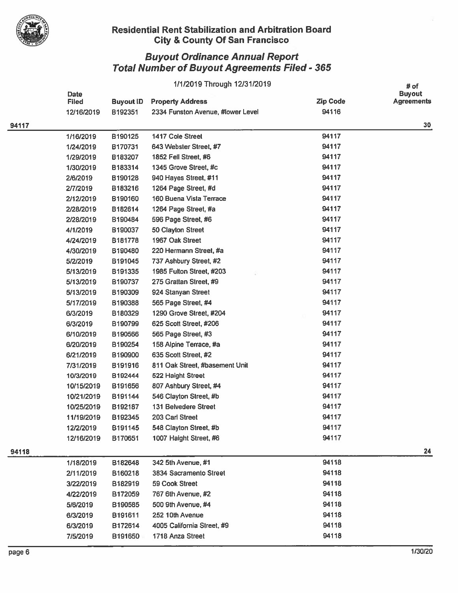

|       | 1/1/2019 Through 12/31/2019 |                  |                                   |                 |                                            |
|-------|-----------------------------|------------------|-----------------------------------|-----------------|--------------------------------------------|
|       | <b>Date</b><br><b>Filed</b> | <b>Buyout ID</b> | <b>Property Address</b>           | <b>Zip Code</b> | # of<br><b>Buyout</b><br><b>Agreements</b> |
|       | 12/16/2019                  | B192351          | 2334 Funston Avenue, #lower Level | 94116           |                                            |
| 94117 |                             |                  |                                   |                 | 30                                         |
|       | 1/16/2019                   | B190125          | 1417 Cole Street                  | 94117           |                                            |
|       | 1/24/2019                   | B170731          | 643 Webster Street, #7            | 94117           |                                            |
|       | 1/29/2019                   | B183207          | 1852 Fell Street, #6              | 94117           |                                            |
|       | 1/30/2019                   | B183314          | 1345 Grove Street, #c             | 94117           |                                            |
|       | 2/6/2019                    | B190128          | 940 Hayes Street, #11             | 94117           |                                            |
|       | 2/7/2019                    | B183216          | 1264 Page Street, #d              | 94117           |                                            |
|       | 2/12/2019                   | B190160          | 160 Buena Vista Terrace           | 94117           |                                            |
|       | 2/28/2019                   | B182614          | 1264 Page Street, #a              | 94117           |                                            |
|       | 2/28/2019                   | B190484          | 596 Page Street, #6               | 94117           |                                            |
|       | 4/1/2019                    | B190037          | 50 Clayton Street                 | 94117           |                                            |
|       | 4/24/2019                   | B181778          | 1967 Oak Street                   | 94117           |                                            |
|       | 4/30/2019                   | B190480          | 220 Hermann Street, #a            | 94117           |                                            |
|       | 5/2/2019                    | B191045          | 737 Ashbury Street, #2            | 94117           |                                            |
|       | 5/13/2019                   | B191335          | 1985 Fulton Street, #203          | 94117           |                                            |
|       | 5/13/2019                   | B190737          | 275 Grattan Street, #9            | 94117           |                                            |
|       | 5/13/2019                   | B190309          | 924 Stanyan Street                | 94117           |                                            |
|       | 5/17/2019                   | B190388          | 565 Page Street, #4               | 94117           |                                            |
|       | 6/3/2019                    | B180329          | 1290 Grove Street, #204           | 94117           |                                            |
|       | 6/3/2019                    | B190799          | 625 Scott Street, #206            | 94117           |                                            |
|       | 6/10/2019                   | B190566          | 565 Page Street, #3               | 94117           |                                            |
|       | 6/20/2019                   | B190254          | 158 Alpine Terrace, #a            | 94117           |                                            |
|       | 6/21/2019                   | B190900          | 635 Scott Street, #2              | 94117           |                                            |
|       | 7/31/2019                   | B191916          | 811 Oak Street, #basement Unit    | 94117           |                                            |
|       | 10/3/2019                   | B192444          | 522 Haight Street                 | 94117           |                                            |
|       | 10/15/2019                  | B191656          | 807 Ashbury Street, #4            | 94117           |                                            |
|       | 10/21/2019                  | B191144          | 546 Clayton Street, #b            | 94117           |                                            |
|       | 10/25/2019                  | B192187          | <b>131 Belvedere Street</b>       | 94117           |                                            |
|       | 11/19/2019                  | B192345          | 203 Carl Street                   | 94117           |                                            |
|       | 12/2/2019                   | B191145          | 548 Clayton Street, #b            | 94117           |                                            |
|       | 12/16/2019                  | B170651          | 1007 Haight Street, #6            | 94117           |                                            |
| 94118 |                             |                  |                                   |                 | 24                                         |
|       | 1/18/2019                   | B182648          | 342 5th Avenue, #1                | 94118           |                                            |
|       | 2/11/2019                   | B160218          | 3834 Sacramento Street            | 94118           |                                            |
|       | 3/22/2019                   | B182919          | 59 Cook Street                    | 94118           |                                            |
|       | 4/22/2019                   | B172059          | 767 6th Avenue, #2                | 94118           |                                            |
|       | 5/6/2019                    | B190585          | 500 9th Avenue, #4                | 94118           |                                            |
|       | 6/3/2019                    | B191611          | 252 10th Avenue                   | 94118           |                                            |
|       | 6/3/2019                    | B172614          | 4005 California Street, #9        | 94118           |                                            |
|       | 7/5/2019                    | B191650          | 1718 Anza Street                  | 94118           |                                            |
|       |                             |                  |                                   |                 |                                            |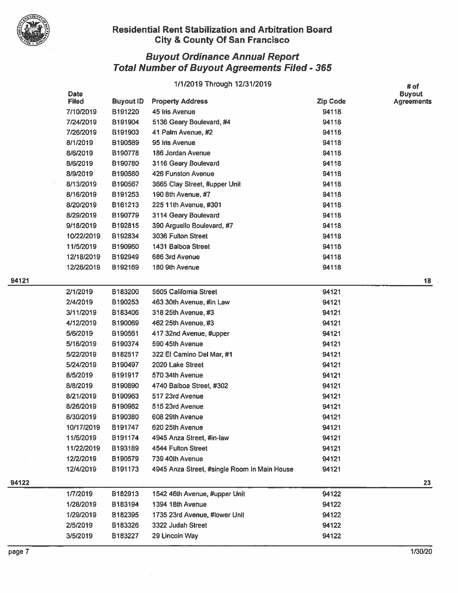

|     | 1/1/2019 Through 12/31/2019 |                  |                                              |                 |                                            |
|-----|-----------------------------|------------------|----------------------------------------------|-----------------|--------------------------------------------|
|     | <b>Date</b><br><b>Filed</b> | <b>Buyout ID</b> | <b>Property Address</b>                      | <b>Zip Code</b> | # of<br><b>Buyout</b><br><b>Agreements</b> |
|     | 7/10/2019                   | B191220          | 45 Iris Avenue                               | 94118           |                                            |
|     | 7/24/2019                   | B191904          | 5136 Geary Boulevard, #4                     | 94118           |                                            |
|     | 7/26/2019                   | B191903          | 41 Palm Avenue, #2                           | 94118           |                                            |
|     | 8/1/2019                    | B190589          | 95 Iris Avenue                               | 94118           |                                            |
|     | 8/6/2019                    | B190778          | 186 Jordan Avenue                            | 94118           |                                            |
|     | 8/6/2019                    | B190780          | 3116 Geary Boulevard                         | 94118           |                                            |
|     | 8/9/2019                    | B190580          | 426 Funston Avenue                           | 94118           |                                            |
|     | 8/13/2019                   | B190567          | 3665 Clay Street, #upper Unit                | 94118           |                                            |
|     | 8/16/2019                   | B191253          | 190 8th Avenue, #7                           | 94118           |                                            |
|     | 8/20/2019                   | B161213          | 225 11th Avenue, #301                        | 94118           |                                            |
|     | 8/29/2019                   | B190779          | 3114 Geary Boulevard                         | 94118           |                                            |
|     | 9/18/2019                   | B192815          | 390 Arguello Boulevard, #7                   | 94118           |                                            |
|     | 10/22/2019                  | B192834          | 3036 Fulton Street                           | 94118           |                                            |
|     | 11/5/2019                   | B190960          | 1431 Balboa Street                           | 94118           |                                            |
|     | 12/18/2019                  | B192949          | 686 3rd Avenue                               | 94118           |                                            |
|     | 12/26/2019                  | B192169          | 180 9th Avenue                               | 94118           |                                            |
| 121 |                             |                  |                                              |                 | 18                                         |
|     | 2/1/2019                    | B183200          | 5605 California Street                       | 94121           |                                            |
|     | 2/4/2019                    | B190253          | 463 30th Avenue, #in Law                     | 94121           |                                            |
|     | 3/11/2019                   | B183406          | 318 25th Avenue, #3                          | 94121           |                                            |
|     | 4/12/2019                   | B190069          | 462 25th Avenue, #3                          | 94121           |                                            |
|     | 5/6/2019                    | B190561          | 417 32nd Avenue, #upper                      | 94121           |                                            |
|     | 5/16/2019                   | B190374          | 590 45th Avenue                              | 94121           |                                            |
|     | 5/22/2019                   | B182517          | 322 El Camino Del Mar, #1                    | 94121           |                                            |
|     | 5/24/2019                   | B190497          | 2020 Lake Street                             | 94121           |                                            |
|     | 8/5/2019                    | B191917          | 570 34th Avenue                              | 94121           |                                            |
|     | 8/8/2019                    | B190890          | 4740 Balboa Street, #302                     | 94121           |                                            |
|     | 8/21/2019                   | B190963          | 517 23rd Avenue                              | 94121           |                                            |
|     | 8/26/2019                   | B190962          | 515 23rd Avenue                              | 94121           |                                            |
|     | 8/30/2019                   | B190380          | 608 29th Avenue                              | 94121           |                                            |
|     | 10/17/2019                  | B191747          | 620 25th Avenue                              | 94121           |                                            |
|     | 11/5/2019                   | B191174          | 4945 Anza Street, #in-law                    | 94121           |                                            |
|     | 11/22/2019                  | B193189          | 4544 Fulton Street                           | 94121           |                                            |
|     | 12/2/2019                   | B190579          | 739 40th Avenue                              | 94121           |                                            |
|     | 12/4/2019                   | B191173          | 4945 Anza Street, #single Room In Main House | 94121           |                                            |
| 122 |                             |                  |                                              |                 | 23                                         |
|     | 1/7/2019                    | B182913          | 1542 46th Avenue, #upper Unit                | 94122           |                                            |
|     | 1/28/2019                   | B183194          | 1394 18th Avenue                             | 94122           |                                            |
|     | 1/29/2019                   | B182395          | 1735 23rd Avenue, #lower Unit                | 94122           |                                            |
|     | 2/5/2019                    | B183326          | 3322 Judah Street                            | 94122           |                                            |
|     | 3/5/2019                    | B183227          | 29 Lincoln Way                               | 94122           |                                            |
|     |                             |                  |                                              |                 |                                            |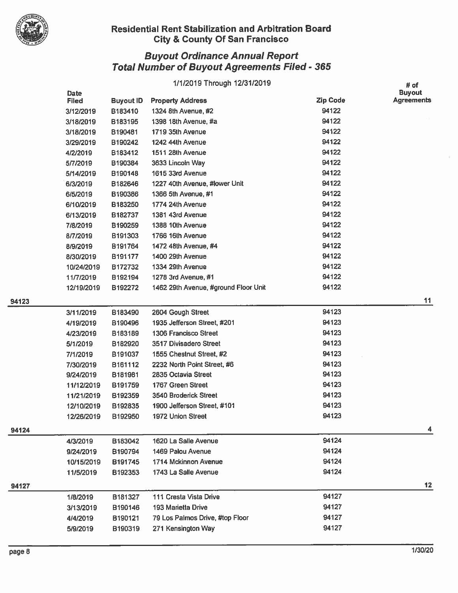

## uyout Ordinance Annual Report  $\boldsymbol{\mathsf{total}}$  Number of Buyout Agreements Filed - 365  $\blacksquare$

|     | 1/1/2019 Through 12/31/2019 |                  |                                      |                 |                                            |
|-----|-----------------------------|------------------|--------------------------------------|-----------------|--------------------------------------------|
|     | Date<br><b>Filed</b>        | <b>Buyout ID</b> | <b>Property Address</b>              | <b>Zip Code</b> | # of<br><b>Buyout</b><br><b>Agreements</b> |
|     | 3/12/2019                   | B183410          | 1324 8th Avenue, #2                  | 94122           |                                            |
|     | 3/18/2019                   | B183195          | 1398 18th Avenue, #a                 | 94122           |                                            |
|     | 3/18/2019                   | B190481          | 1719 35th Avenue                     | 94122           |                                            |
|     | 3/29/2019                   | B190242          | 1242 44th Avenue                     | 94122           |                                            |
|     | 4/2/2019                    | B183412          | 1511 28th Avenue                     | 94122           |                                            |
|     | 5/7/2019                    | B190384          | 3633 Lincoln Way                     | 94122           |                                            |
|     | 5/14/2019                   | B190148          | 1615 33rd Avenue                     | 94122           |                                            |
|     | 6/3/2019                    | B182646          | 1227 40th Avenue, #lower Unit        | 94122           |                                            |
|     | 6/5/2019                    | B190386          | 1366 5th Avenue, #1                  | 94122           |                                            |
|     | 6/10/2019                   | B183250          | 1774 24th Avenue                     | 94122           |                                            |
|     | 6/13/2019                   | B182737          | 1381 43rd Avenue                     | 94122           |                                            |
|     | 7/8/2019                    | B190259          | 1388 10th Avenue                     | 94122           |                                            |
|     | 8/7/2019                    | B191303          | 1766 16th Avenue                     | 94122           |                                            |
|     | 8/9/2019                    | B191764          | 1472 48th Avenue, #4                 | 94122           |                                            |
|     | 8/30/2019                   | B191177          | 1400 29th Avenue                     | 94122           |                                            |
|     | 10/24/2019                  | B172732          | 1334 29th Avenue                     | 94122           |                                            |
|     | 11/7/2019                   | B192194          | 1278 3rd Avenue, #1                  | 94122           |                                            |
|     | 12/19/2019                  | B192272          | 1462 29th Avenue, #ground Floor Unit | 94122           |                                            |
| 123 |                             |                  |                                      |                 | 11                                         |
|     | 3/11/2019                   | B183490          | 2604 Gough Street                    | 94123           |                                            |
|     | 4/19/2019                   | B190496          | 1935 Jefferson Street, #201          | 94123           |                                            |
|     | 4/23/2019                   | B183189          | 1306 Francisco Street                | 94123           |                                            |
|     | 5/1/2019                    | B182920          | 3517 Divisadero Street               | 94123           |                                            |
|     | 7/1/2019                    | B191037          | 1555 Chestnut Street, #2             | 94123           |                                            |
|     | 7/30/2019                   | B161112          | 2232 North Point Street, #6          | 94123           |                                            |
|     | 9/24/2019                   | B181981          | 2835 Octavia Street                  | 94123           |                                            |
|     | 11/12/2019                  | B191759          | 1767 Green Street                    | 94123           |                                            |
|     | 11/21/2019                  | B192359          | 3540 Broderick Street                | 94123           |                                            |
|     | 12/10/2019                  | B192835          | 1900 Jefferson Street, #101          | 94123           |                                            |
|     | 12/26/2019                  | B192950          | 1972 Union Street                    | 94123           |                                            |
| 124 |                             |                  |                                      |                 | 4                                          |
|     | 4/3/2019                    | B183042          | 1620 La Salle Avenue                 | 94124           |                                            |
|     | 9/24/2019                   | B190794          | 1469 Palou Avenue                    | 94124           |                                            |
|     | 10/15/2019                  | B191745          | 1714 Mckinnon Avenue                 | 94124           |                                            |
|     | 11/5/2019                   | B192353          | 1743 La Salle Avenue                 | 94124           |                                            |
| 127 |                             |                  |                                      |                 | 12                                         |
|     | 1/8/2019                    | B181327          | 111 Cresta Vista Drive               | 94127           |                                            |
|     | 3/13/2019                   | B190146          | 193 Marietta Drive                   | 94127           |                                            |
|     | 4/4/2019                    | B190121          | 79 Los Palmos Drive, #top Floor      | 94127           |                                            |
|     | 5/9/2019                    | B190319          | 271 Kensington Way                   | 94127           |                                            |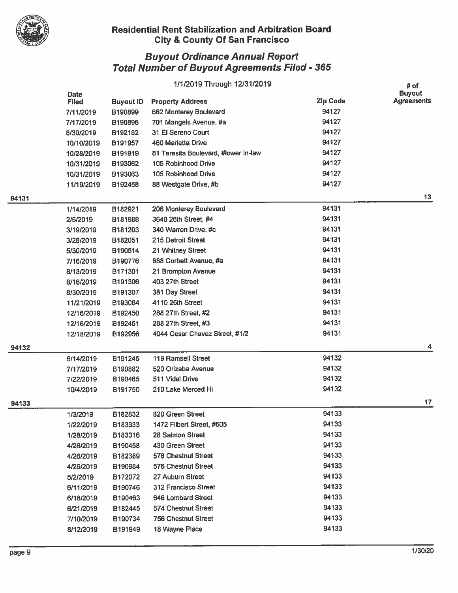

|       |              |                    | 1/1/2019 Through 12/31/2019          |                 | # of              |
|-------|--------------|--------------------|--------------------------------------|-----------------|-------------------|
|       | <b>Date</b>  |                    |                                      |                 | <b>Buyout</b>     |
|       | <b>Filed</b> | <b>Buyout ID</b>   | <b>Property Address</b>              | <b>Zip Code</b> | <b>Agreements</b> |
|       | 7/11/2019    | B190899            | 662 Monterey Boulevard               | 94127           |                   |
|       | 7/17/2019    | B190896            | 701 Mangels Avenue, #a               | 94127           |                   |
|       | 8/30/2019    | B192182            | 31 El Sereno Court                   | 94127           |                   |
|       | 10/10/2019   | B191957            | 460 Marietta Drive                   | 94127           |                   |
|       | 10/28/2019   | B191919            | 81 Teresita Boulevard, #lower In-law | 94127           |                   |
|       | 10/31/2019   | B193062            | 105 Robinhood Drive                  | 94127           |                   |
|       | 10/31/2019   | B193063            | 105 Robinhood Drive                  | 94127           |                   |
|       | 11/19/2019   | B192458            | 88 Westgate Drive, #b                | 94127           |                   |
| 94131 |              |                    |                                      |                 | 13                |
|       | 1/14/2019    | B182921            | 206 Monterey Boulevard               | 94131           |                   |
|       | 2/5/2019     | B181988            | 3640 26th Street, #4                 | 94131           |                   |
|       | 3/19/2019    | B181203            | 340 Warren Drive, #c                 | 94131           |                   |
|       | 3/28/2019    | B182051            | 215 Detroit Street                   | 94131           |                   |
|       | 5/30/2019    | B190514            | 21 Whitney Street                    | 94131           |                   |
|       | 7/16/2019    | B190776            | 888 Corbett Avenue, #a               | 94131           |                   |
|       | 8/13/2019    | B171301            | 21 Brompton Avenue                   | 94131           |                   |
|       | 8/16/2019    | B191306            | 403 27th Street                      | 94131           |                   |
|       | 8/30/2019    | B191307            | 381 Day Street                       | 94131           |                   |
|       | 11/21/2019   | B193064            | 4110 26th Street                     | 94131           |                   |
|       | 12/16/2019   | B192450            | 288 27th Street, #2                  | 94131           |                   |
|       | 12/16/2019   | B192451            | 288 27th Street, #3                  | 94131           |                   |
|       | 12/18/2019   | B192956            | 4044 Cesar Chavez Street, #1/2       | 94131           |                   |
| 94132 |              |                    |                                      |                 | 4                 |
|       | 6/14/2019    | B191245            | 119 Ramsell Street                   | 94132           |                   |
|       | 7/17/2019    | B190882            | 520 Orizaba Avenue                   | 94132           |                   |
|       | 7/22/2019    | B190485            | 511 Vidal Drive                      | 94132           |                   |
|       | 10/4/2019    | B191750            | 210 Lake Merced Hi                   | 94132           |                   |
|       |              |                    |                                      |                 | 17                |
| 94133 | 1/3/2019     | B182832            | 820 Green Street                     | 94133           |                   |
|       | 1/22/2019    | B183333            | 1472 Filbert Street, #605            | 94133           |                   |
|       | 1/28/2019    | B183316            | 28 Salmon Street                     | 94133           |                   |
|       | 4/26/2019    | B190458            | 430 Green Street                     | 94133           |                   |
|       | 4/26/2019    | B182389            | 578 Chestnut Street                  | 94133           |                   |
|       | 4/26/2019    |                    | <b>576 Chestnut Street</b>           | 94133           |                   |
|       |              | B190984            | 27 Auburn Street                     | 94133           |                   |
|       | 5/2/2019     | B172072<br>B190746 | 312 Francisco Street                 | 94133           |                   |
|       | 6/11/2019    |                    | 646 Lombard Street                   | 94133           |                   |
|       | 6/18/2019    | B190463            | 574 Chestnut Street                  | 94133           |                   |
|       | 6/21/2019    | B182445            |                                      | 94133           |                   |
|       | 7/10/2019    | B190734            | <b>756 Chestnut Street</b>           | 94133           |                   |
|       | 8/12/2019    | B191949            | 18 Wayne Place                       |                 |                   |